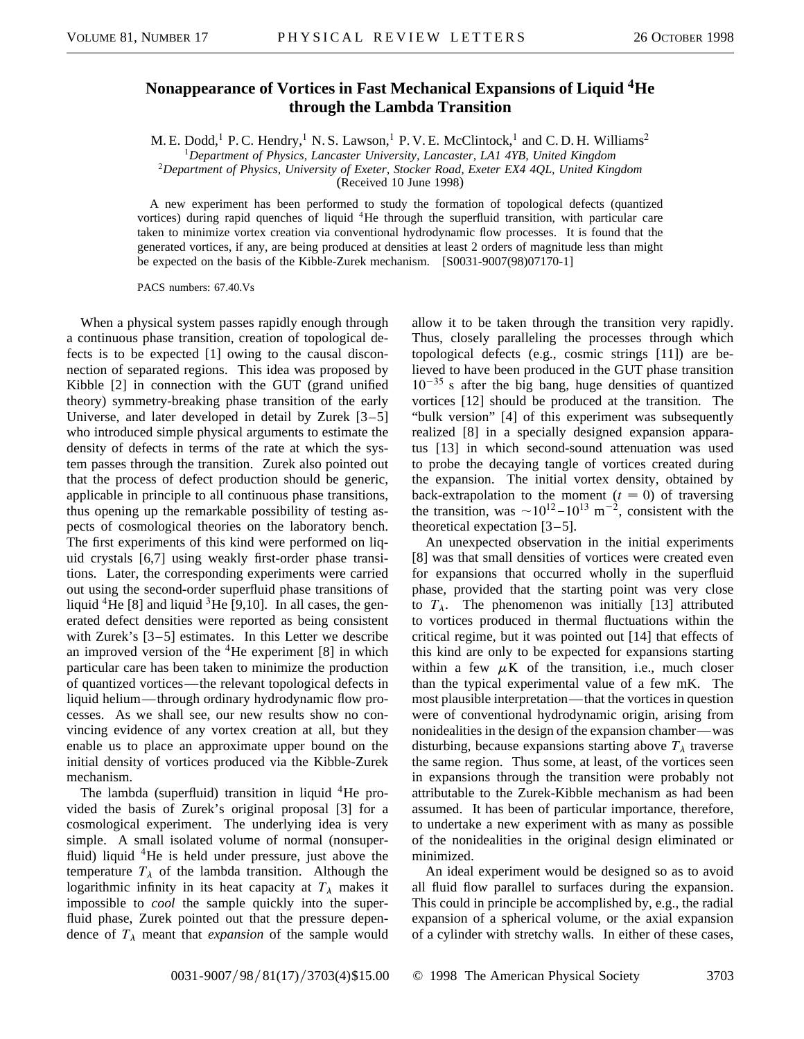## **Nonappearance of Vortices in Fast Mechanical Expansions of Liquid <sup>4</sup>He through the Lambda Transition**

M. E. Dodd,<sup>1</sup> P. C. Hendry,<sup>1</sup> N. S. Lawson,<sup>1</sup> P. V. E. McClintock,<sup>1</sup> and C. D. H. Williams<sup>2</sup>

<sup>1</sup>*Department of Physics, Lancaster University, Lancaster, LA1 4YB, United Kingdom*

<sup>2</sup>*Department of Physics, University of Exeter, Stocker Road, Exeter EX4 4QL, United Kingdom*

(Received 10 June 1998)

A new experiment has been performed to study the formation of topological defects (quantized vortices) during rapid quenches of liquid  ${}^{4}$ He through the superfluid transition, with particular care taken to minimize vortex creation via conventional hydrodynamic flow processes. It is found that the generated vortices, if any, are being produced at densities at least 2 orders of magnitude less than might be expected on the basis of the Kibble-Zurek mechanism. [S0031-9007(98)07170-1]

PACS numbers: 67.40.Vs

When a physical system passes rapidly enough through a continuous phase transition, creation of topological defects is to be expected [1] owing to the causal disconnection of separated regions. This idea was proposed by Kibble [2] in connection with the GUT (grand unified theory) symmetry-breaking phase transition of the early Universe, and later developed in detail by Zurek [3–5] who introduced simple physical arguments to estimate the density of defects in terms of the rate at which the system passes through the transition. Zurek also pointed out that the process of defect production should be generic, applicable in principle to all continuous phase transitions, thus opening up the remarkable possibility of testing aspects of cosmological theories on the laboratory bench. The first experiments of this kind were performed on liquid crystals [6,7] using weakly first-order phase transitions. Later, the corresponding experiments were carried out using the second-order superfluid phase transitions of liquid <sup>4</sup>He [8] and liquid <sup>3</sup>He [9,10]. In all cases, the generated defect densities were reported as being consistent with Zurek's [3–5] estimates. In this Letter we describe an improved version of the  ${}^{4}$ He experiment [8] in which particular care has been taken to minimize the production of quantized vortices—the relevant topological defects in liquid helium—through ordinary hydrodynamic flow processes. As we shall see, our new results show no convincing evidence of any vortex creation at all, but they enable us to place an approximate upper bound on the initial density of vortices produced via the Kibble-Zurek mechanism.

The lambda (superfluid) transition in liquid  ${}^{4}$ He provided the basis of Zurek's original proposal [3] for a cosmological experiment. The underlying idea is very simple. A small isolated volume of normal (nonsuperfluid) liquid  ${}^{4}$ He is held under pressure, just above the temperature  $T_{\lambda}$  of the lambda transition. Although the logarithmic infinity in its heat capacity at  $T_{\lambda}$  makes it impossible to *cool* the sample quickly into the superfluid phase, Zurek pointed out that the pressure dependence of  $T_{\lambda}$  meant that *expansion* of the sample would

allow it to be taken through the transition very rapidly. Thus, closely paralleling the processes through which topological defects (e.g., cosmic strings [11]) are believed to have been produced in the GUT phase transition  $10^{-35}$  s after the big bang, huge densities of quantized vortices [12] should be produced at the transition. The "bulk version" [4] of this experiment was subsequently realized [8] in a specially designed expansion apparatus [13] in which second-sound attenuation was used to probe the decaying tangle of vortices created during the expansion. The initial vortex density, obtained by back-extrapolation to the moment  $(t = 0)$  of traversing the transition, was  $\sim 10^{12} - 10^{13}$  m<sup>-2</sup>, consistent with the theoretical expectation [3–5].

An unexpected observation in the initial experiments [8] was that small densities of vortices were created even for expansions that occurred wholly in the superfluid phase, provided that the starting point was very close to  $T_{\lambda}$ . The phenomenon was initially [13] attributed to vortices produced in thermal fluctuations within the critical regime, but it was pointed out [14] that effects of this kind are only to be expected for expansions starting within a few  $\mu$ K of the transition, i.e., much closer than the typical experimental value of a few mK. The most plausible interpretation—that the vortices in question were of conventional hydrodynamic origin, arising from nonidealities in the design of the expansion chamber—was disturbing, because expansions starting above  $T_{\lambda}$  traverse the same region. Thus some, at least, of the vortices seen in expansions through the transition were probably not attributable to the Zurek-Kibble mechanism as had been assumed. It has been of particular importance, therefore, to undertake a new experiment with as many as possible of the nonidealities in the original design eliminated or minimized.

An ideal experiment would be designed so as to avoid all fluid flow parallel to surfaces during the expansion. This could in principle be accomplished by, e.g., the radial expansion of a spherical volume, or the axial expansion of a cylinder with stretchy walls. In either of these cases,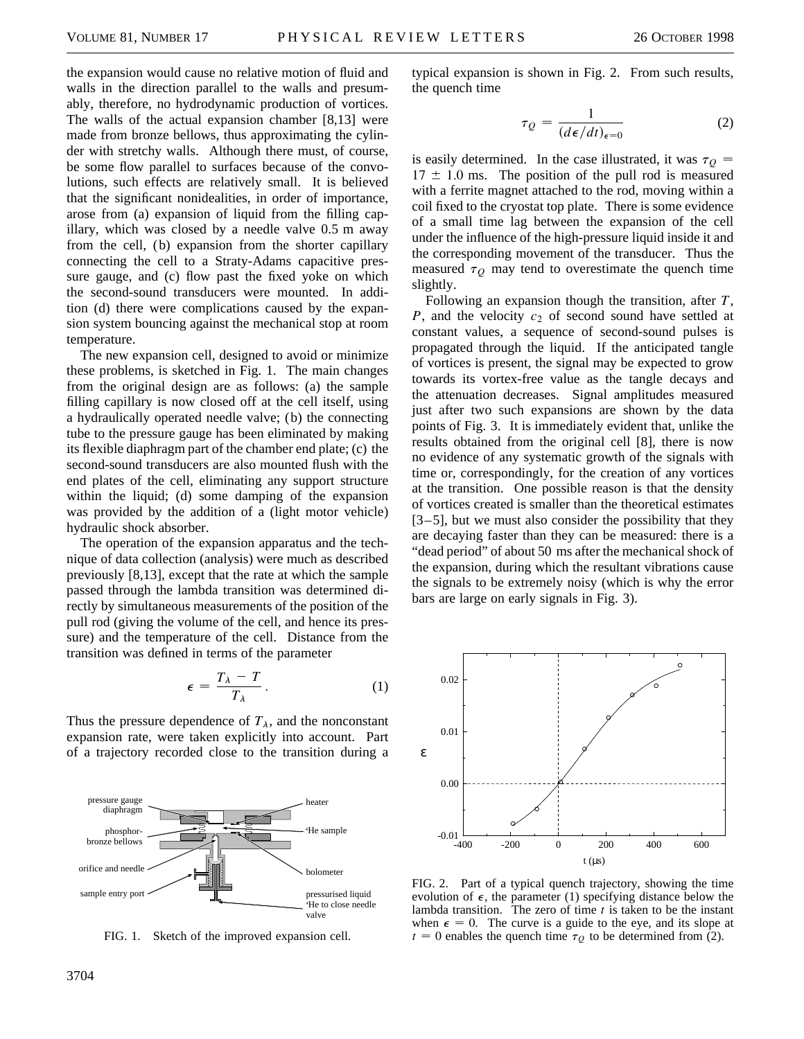the expansion would cause no relative motion of fluid and walls in the direction parallel to the walls and presumably, therefore, no hydrodynamic production of vortices. The walls of the actual expansion chamber [8,13] were made from bronze bellows, thus approximating the cylinder with stretchy walls. Although there must, of course, be some flow parallel to surfaces because of the convolutions, such effects are relatively small. It is believed that the significant nonidealities, in order of importance, arose from (a) expansion of liquid from the filling capillary, which was closed by a needle valve 0.5 m away from the cell, (b) expansion from the shorter capillary connecting the cell to a Straty-Adams capacitive pressure gauge, and (c) flow past the fixed yoke on which the second-sound transducers were mounted. In addition (d) there were complications caused by the expansion system bouncing against the mechanical stop at room temperature.

The new expansion cell, designed to avoid or minimize these problems, is sketched in Fig. 1. The main changes from the original design are as follows: (a) the sample filling capillary is now closed off at the cell itself, using a hydraulically operated needle valve; (b) the connecting tube to the pressure gauge has been eliminated by making its flexible diaphragm part of the chamber end plate; (c) the second-sound transducers are also mounted flush with the end plates of the cell, eliminating any support structure within the liquid; (d) some damping of the expansion was provided by the addition of a (light motor vehicle) hydraulic shock absorber.

The operation of the expansion apparatus and the technique of data collection (analysis) were much as described previously [8,13], except that the rate at which the sample passed through the lambda transition was determined directly by simultaneous measurements of the position of the pull rod (giving the volume of the cell, and hence its pressure) and the temperature of the cell. Distance from the transition was defined in terms of the parameter

$$
\epsilon = \frac{T_{\lambda} - T}{T_{\lambda}}.
$$
 (1)

Thus the pressure dependence of  $T_{\lambda}$ , and the nonconstant expansion rate, were taken explicitly into account. Part of a trajectory recorded close to the transition during a



FIG. 1. Sketch of the improved expansion cell.

typical expansion is shown in Fig. 2. From such results, the quench time

$$
\tau_Q = \frac{1}{(d\epsilon/dt)_{\epsilon=0}}\tag{2}
$$

is easily determined. In the case illustrated, it was  $\tau$ <sup>*Q*</sup> =  $17 \pm 1.0$  ms. The position of the pull rod is measured with a ferrite magnet attached to the rod, moving within a coil fixed to the cryostat top plate. There is some evidence of a small time lag between the expansion of the cell under the influence of the high-pressure liquid inside it and the corresponding movement of the transducer. Thus the measured  $\tau$ <sup> $O$ </sup> may tend to overestimate the quench time slightly.

Following an expansion though the transition, after *T*, *P*, and the velocity  $c_2$  of second sound have settled at constant values, a sequence of second-sound pulses is propagated through the liquid. If the anticipated tangle of vortices is present, the signal may be expected to grow towards its vortex-free value as the tangle decays and the attenuation decreases. Signal amplitudes measured just after two such expansions are shown by the data points of Fig. 3. It is immediately evident that, unlike the results obtained from the original cell [8], there is now no evidence of any systematic growth of the signals with time or, correspondingly, for the creation of any vortices at the transition. One possible reason is that the density of vortices created is smaller than the theoretical estimates [3–5], but we must also consider the possibility that they are decaying faster than they can be measured: there is a "dead period" of about 50 ms after the mechanical shock of the expansion, during which the resultant vibrations cause the signals to be extremely noisy (which is why the error bars are large on early signals in Fig. 3).



FIG. 2. Part of a typical quench trajectory, showing the time evolution of  $\epsilon$ , the parameter (1) specifying distance below the lambda transition. The zero of time *t* is taken to be the instant when  $\epsilon = 0$ . The curve is a guide to the eye, and its slope at  $t = 0$  enables the quench time  $\tau_Q$  to be determined from (2).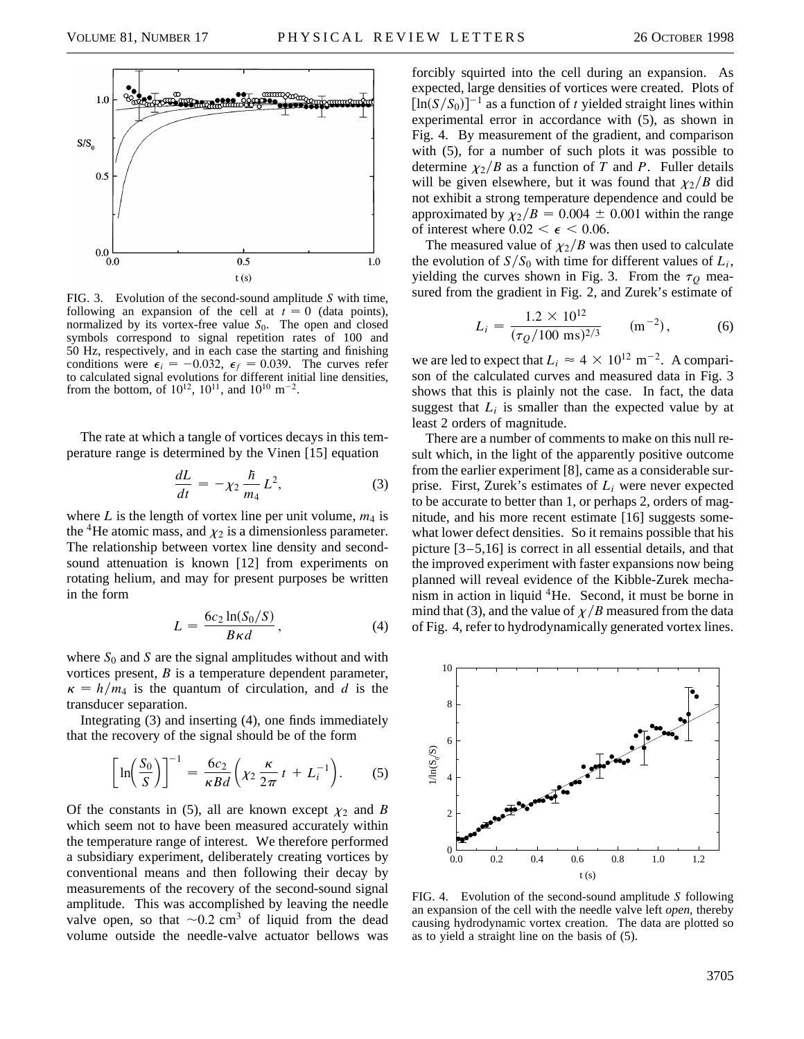

FIG. 3. Evolution of the second-sound amplitude *S* with time, following an expansion of the cell at  $t = 0$  (data points), normalized by its vortex-free value  $S_0$ . The open and closed symbols correspond to signal repetition rates of 100 and 50 Hz, respectively, and in each case the starting and finishing conditions were  $\epsilon_i = -0.032$ ,  $\epsilon_f = 0.039$ . The curves refer to calculated signal evolutions for different initial line densities, from the bottom, of  $10^{12}$ ,  $10^{11}$ , and  $10^{10}$  m<sup>-2</sup>.

The rate at which a tangle of vortices decays in this temperature range is determined by the Vinen [15] equation

$$
\frac{dL}{dt} = -\chi_2 \frac{\hbar}{m_4} L^2,\tag{3}
$$

where  $L$  is the length of vortex line per unit volume,  $m_4$  is the <sup>4</sup>He atomic mass, and  $\chi_2$  is a dimensionless parameter. The relationship between vortex line density and secondsound attenuation is known [12] from experiments on rotating helium, and may for present purposes be written in the form

$$
L = \frac{6c_2 \ln(S_0/S)}{B\kappa d},\tag{4}
$$

where  $S_0$  and  $S$  are the signal amplitudes without and with vortices present, *B* is a temperature dependent parameter,  $\kappa = h/m_4$  is the quantum of circulation, and *d* is the transducer separation.

Integrating (3) and inserting (4), one finds immediately that the recovery of the signal should be of the form

$$
\left[\ln\left(\frac{S_0}{S}\right)\right]^{-1} = \frac{6c_2}{\kappa Bd} \left(\chi_2 \frac{\kappa}{2\pi} t + L_i^{-1}\right). \tag{5}
$$

Of the constants in (5), all are known except  $\chi_2$  and *B* which seem not to have been measured accurately within the temperature range of interest. We therefore performed a subsidiary experiment, deliberately creating vortices by conventional means and then following their decay by measurements of the recovery of the second-sound signal amplitude. This was accomplished by leaving the needle valve open, so that  $\sim 0.2$  cm<sup>3</sup> of liquid from the dead volume outside the needle-valve actuator bellows was

forcibly squirted into the cell during an expansion. As expected, large densities of vortices were created. Plots of  $[\ln(S/S_0)]^{-1}$  as a function of *t* yielded straight lines within experimental error in accordance with (5), as shown in Fig. 4. By measurement of the gradient, and comparison with (5), for a number of such plots it was possible to determine  $\chi_2/B$  as a function of *T* and *P*. Fuller details will be given elsewhere, but it was found that  $\chi_2/B$  did not exhibit a strong temperature dependence and could be approximated by  $\chi_2/B = 0.004 \pm 0.001$  within the range of interest where  $0.02 < \epsilon < 0.06$ .

The measured value of  $\chi_2/B$  was then used to calculate the evolution of  $S/S_0$  with time for different values of  $L_i$ , yielding the curves shown in Fig. 3. From the  $\tau_Q$  measured from the gradient in Fig. 2, and Zurek's estimate of

$$
L_i = \frac{1.2 \times 10^{12}}{(\tau_Q/100 \text{ ms})^{2/3}} \qquad (\text{m}^{-2}), \tag{6}
$$

we are led to expect that  $L_i \approx 4 \times 10^{12} \text{ m}^{-2}$ . A comparison of the calculated curves and measured data in Fig. 3 shows that this is plainly not the case. In fact, the data suggest that  $L_i$  is smaller than the expected value by at least 2 orders of magnitude.

There are a number of comments to make on this null result which, in the light of the apparently positive outcome from the earlier experiment [8], came as a considerable surprise. First, Zurek's estimates of *Li* were never expected to be accurate to better than 1, or perhaps 2, orders of magnitude, and his more recent estimate [16] suggests somewhat lower defect densities. So it remains possible that his picture [3–5,16] is correct in all essential details, and that the improved experiment with faster expansions now being planned will reveal evidence of the Kibble-Zurek mechanism in action in liquid <sup>4</sup>He. Second, it must be borne in mind that (3), and the value of  $\chi/B$  measured from the data of Fig. 4, refer to hydrodynamically generated vortex lines.



FIG. 4. Evolution of the second-sound amplitude *S* following an expansion of the cell with the needle valve left *open,* thereby causing hydrodynamic vortex creation. The data are plotted so as to yield a straight line on the basis of (5).